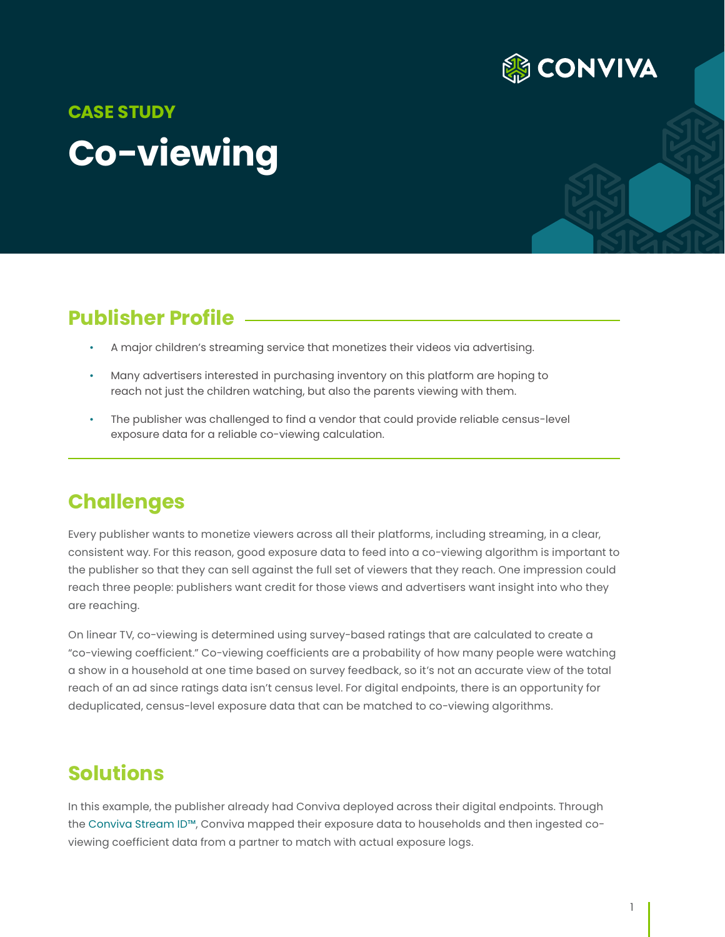

# **Co-viewing CASE STUDY**

## **Publisher Profile**

- A major children's streaming service that monetizes their videos via advertising.
- Many advertisers interested in purchasing inventory on this platform are hoping to reach not just the children watching, but also the parents viewing with them.
- The publisher was challenged to find a vendor that could provide reliable census-level exposure data for a reliable co-viewing calculation.

#### **Challenges**

Every publisher wants to monetize viewers across all their platforms, including streaming, in a clear, consistent way. For this reason, good exposure data to feed into a co-viewing algorithm is important to the publisher so that they can sell against the full set of viewers that they reach. One impression could reach three people: publishers want credit for those views and advertisers want insight into who they are reaching.

On linear TV, co-viewing is determined using survey-based ratings that are calculated to create a "co-viewing coefficient." Co-viewing coefficients are a probability of how many people were watching a show in a household at one time based on survey feedback, so it's not an accurate view of the total reach of an ad since ratings data isn't census level. For digital endpoints, there is an opportunity for deduplicated, census-level exposure data that can be matched to co-viewing algorithms.

#### **Solutions**

In this example, the publisher already had Conviva deployed across their digital endpoints. Through the [Conviva Stream ID™](https://www.conviva.com/stream-id/), Conviva mapped their exposure data to households and then ingested coviewing coefficient data from a partner to match with actual exposure logs.